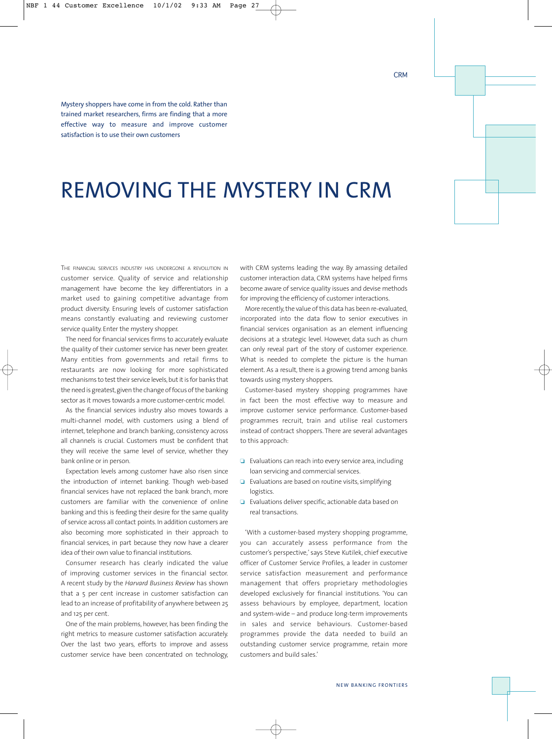Mystery shoppers have come in from the cold. Rather than trained market researchers, firms are finding that a more effective way to measure and improve customer satisfaction is to use their own customers

## REMOVING THE MYSTERY IN CRM

THE FINANCIAL SERVICES INDUSTRY HAS UNDERGONE A REVOLUTION IN customer service. Quality of service and relationship management have become the key differentiators in a market used to gaining competitive advantage from product diversity. Ensuring levels of customer satisfaction means constantly evaluating and reviewing customer service quality. Enter the mystery shopper.

The need for financial services firms to accurately evaluate the quality of their customer service has never been greater. Many entities from governments and retail firms to restaurants are now looking for more sophisticated mechanisms to test their service levels, but it is for banks that the need is greatest,given the change of focus of the banking sector as it moves towards a more customer-centric model.

As the financial services industry also moves towards a multi-channel model, with customers using a blend of internet, telephone and branch banking, consistency across all channels is crucial. Customers must be confident that they will receive the same level of service, whether they bank online or in person.

Expectation levels among customer have also risen since the introduction of internet banking. Though web-based financial services have not replaced the bank branch, more customers are familiar with the convenience of online banking and this is feeding their desire for the same quality of service across all contact points. In addition customers are also becoming more sophisticated in their approach to financial services, in part because they now have a clearer idea of their own value to financial institutions.

Consumer research has clearly indicated the value of improving customer services in the financial sector. A recent study by the *Harvard Business Review* has shown that a 5 per cent increase in customer satisfaction can lead to an increase of profitability of anywhere between 25 and 125 per cent.

One of the main problems, however, has been finding the right metrics to measure customer satisfaction accurately. Over the last two years, efforts to improve and assess customer service have been concentrated on technology, with CRM systems leading the way. By amassing detailed customer interaction data, CRM systems have helped firms become aware of service quality issues and devise methods for improving the efficiency of customer interactions.

More recently, the value of this data has been re-evaluated, incorporated into the data flow to senior executives in financial services organisation as an element influencing decisions at a strategic level. However, data such as churn can only reveal part of the story of customer experience. What is needed to complete the picture is the human element. As a result, there is a growing trend among banks towards using mystery shoppers.

Customer-based mystery shopping programmes have in fact been the most effective way to measure and improve customer service performance. Customer-based programmes recruit, train and utilise real customers instead of contract shoppers. There are several advantages to this approach:

- ❏ Evaluations can reach into every service area, including loan servicing and commercial services.
- ❏ Evaluations are based on routine visits, simplifying logistics.
- ❏ Evaluations deliver specific, actionable data based on real transactions.

'With a customer-based mystery shopping programme, you can accurately assess performance from the customer's perspective,' says Steve Kutilek, chief executive officer of Customer Service Profiles, a leader in customer service satisfaction measurement and performance management that offers proprietary methodologies developed exclusively for financial institutions. 'You can assess behaviours by employee, department, location and system-wide – and produce long-term improvements in sales and service behaviours. Customer-based programmes provide the data needed to build an outstanding customer service programme, retain more customers and build sales.'

**CRM**